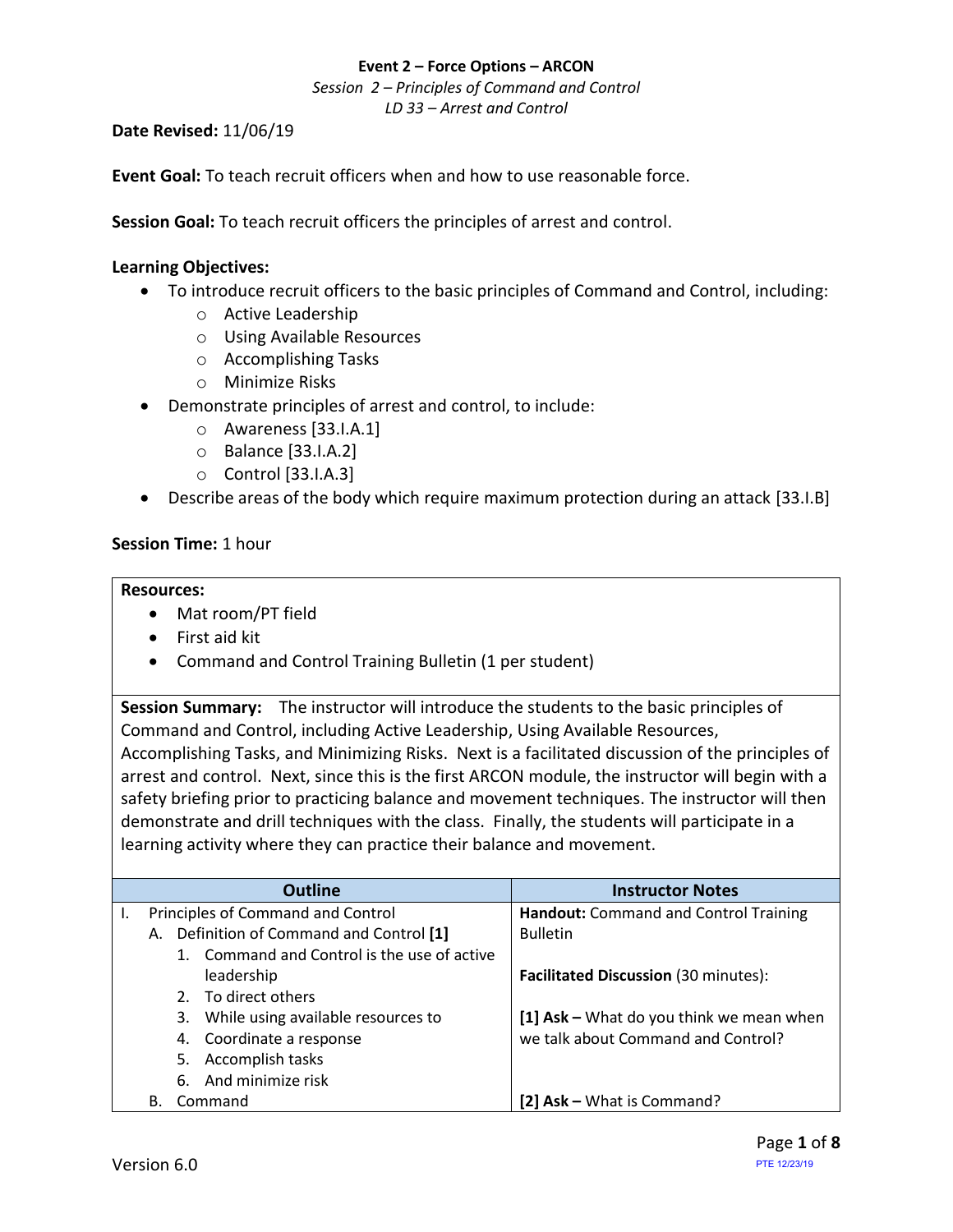*Session 2 – Principles of Command and Control LD 33 – Arrest and Control*

**Date Revised:** 11/06/19

**Event Goal:** To teach recruit officers when and how to use reasonable force.

**Session Goal:** To teach recruit officers the principles of arrest and control.

### <span id="page-0-0"></span>**Learning Objectives:**

- To introduce recruit officers to the basic principles of Command and Control, including:
	- o Active Leadership
	- o Using Available Resources
	- o Accomplishing Tasks
	- o Minimize Risks
- Demonstrate principles of arrest and control, to include:
	- o [Awareness](#page-4-0) [33.I.A.1]
	- o Balance [\[33.I.A.2\]](#page-4-1)
	- o Control [\[33.I.A.3\]](#page-6-0)
- [Describe areas of the body which require maximum protection during an attack](#page-5-0) [33.I.B]

### **Session Time:** 1 hour

#### **Resources:**

- Mat room/PT field
- First aid kit
- Command and Control Training Bulletin (1 per student)

**Session Summary:** The instructor will introduce the students to the basic principles of Command and Control, including Active Leadership, Using Available Resources, Accomplishing Tasks, and Minimizing Risks. Next is a facilitated discussion of the principles of arrest and control. Next, since this is the first ARCON module, the instructor will begin with a safety briefing prior to practicing balance and movement techniques. The instructor will then demonstrate and drill techniques with the class. Finally, the students will participate in a learning activity where they can practice their balance and movement.

| <b>Outline</b>                              | <b>Instructor Notes</b>                     |
|---------------------------------------------|---------------------------------------------|
| Principles of Command and Control           | Handout: Command and Control Training       |
| Definition of Command and Control [1]<br>А. | <b>Bulletin</b>                             |
| 1. Command and Control is the use of active |                                             |
| leadership                                  | <b>Facilitated Discussion (30 minutes):</b> |
| 2. To direct others                         |                                             |
| 3. While using available resources to       | [1] Ask - What do you think we mean when    |
| 4. Coordinate a response                    | we talk about Command and Control?          |
| 5. Accomplish tasks                         |                                             |
| 6. And minimize risk                        |                                             |
| Command<br>В.                               | [2] Ask - What is Command?                  |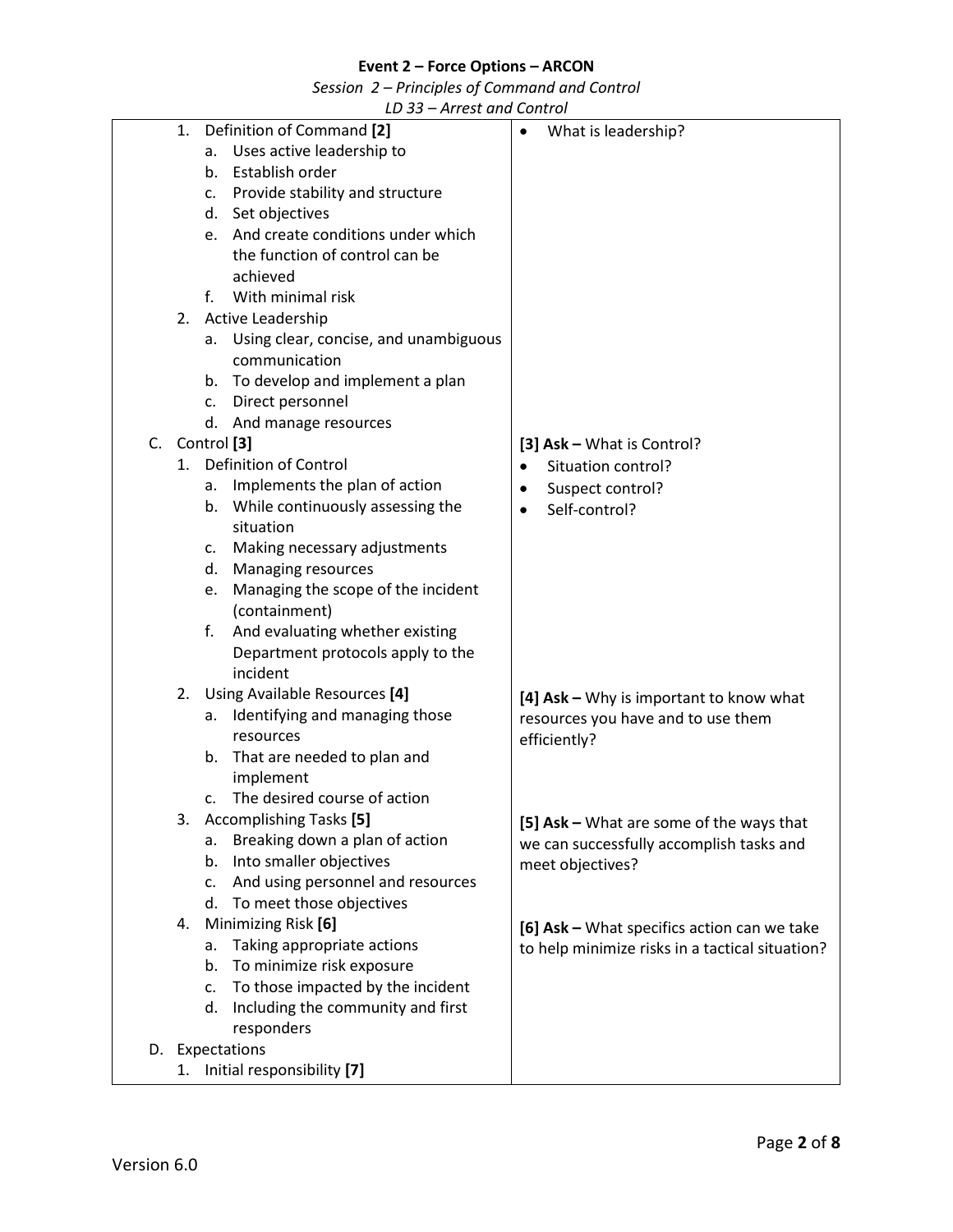*Session 2 – Principles of Command and Control*

|                 |  |                |                | LD ၁၁ – Affest dhu Control               |                                                 |
|-----------------|--|----------------|----------------|------------------------------------------|-------------------------------------------------|
|                 |  | 1.             |                | Definition of Command [2]                | What is leadership?                             |
|                 |  |                | a.             | Uses active leadership to                |                                                 |
|                 |  |                |                | b. Establish order                       |                                                 |
|                 |  |                |                | c. Provide stability and structure       |                                                 |
|                 |  |                |                | d. Set objectives                        |                                                 |
|                 |  |                |                | e. And create conditions under which     |                                                 |
|                 |  |                |                | the function of control can be           |                                                 |
|                 |  |                |                | achieved                                 |                                                 |
|                 |  |                | f.             | With minimal risk                        |                                                 |
|                 |  | 2.             |                | <b>Active Leadership</b>                 |                                                 |
|                 |  |                |                | a. Using clear, concise, and unambiguous |                                                 |
|                 |  |                |                | communication                            |                                                 |
|                 |  |                |                | b. To develop and implement a plan       |                                                 |
|                 |  |                |                | c. Direct personnel                      |                                                 |
|                 |  |                |                | d. And manage resources                  |                                                 |
|                 |  | C. Control [3] |                |                                          | [3] Ask - What is Control?                      |
|                 |  | 1.             |                | <b>Definition of Control</b>             | Situation control?<br>$\bullet$                 |
|                 |  |                | а.             | Implements the plan of action            | Suspect control?<br>$\bullet$                   |
|                 |  |                | b.             | While continuously assessing the         | Self-control?<br>$\bullet$                      |
|                 |  |                |                | situation                                |                                                 |
|                 |  |                | c.             | Making necessary adjustments             |                                                 |
|                 |  |                | d.             | Managing resources                       |                                                 |
|                 |  |                | e.             | Managing the scope of the incident       |                                                 |
|                 |  |                |                | (containment)                            |                                                 |
|                 |  |                | f.             | And evaluating whether existing          |                                                 |
|                 |  |                |                | Department protocols apply to the        |                                                 |
|                 |  |                |                | incident                                 |                                                 |
|                 |  |                |                | 2. Using Available Resources [4]         | [4] Ask - Why is important to know what         |
|                 |  |                | а.             | Identifying and managing those           | resources you have and to use them              |
|                 |  |                |                | resources                                | efficiently?                                    |
|                 |  |                | b.             | That are needed to plan and              |                                                 |
|                 |  |                |                | implement                                |                                                 |
|                 |  |                | c.             | The desired course of action             |                                                 |
|                 |  |                |                | 3. Accomplishing Tasks [5]               | [5] Ask - What are some of the ways that        |
|                 |  |                | a.             | Breaking down a plan of action           | we can successfully accomplish tasks and        |
|                 |  |                | b.             | Into smaller objectives                  | meet objectives?                                |
|                 |  |                | c.             | And using personnel and resources        |                                                 |
|                 |  |                | d.             | To meet those objectives                 |                                                 |
|                 |  | 4.             |                | Minimizing Risk [6]                      | [6] Ask - What specifics action can we take     |
|                 |  |                | a.             | Taking appropriate actions               | to help minimize risks in a tactical situation? |
|                 |  |                | b.             | To minimize risk exposure                |                                                 |
|                 |  |                | $\mathsf{C}$ . | To those impacted by the incident        |                                                 |
|                 |  |                | d.             | Including the community and first        |                                                 |
|                 |  |                |                | responders                               |                                                 |
| D. Expectations |  |                |                |                                          |                                                 |
|                 |  | 1.             |                | Initial responsibility [7]               |                                                 |
|                 |  |                |                |                                          |                                                 |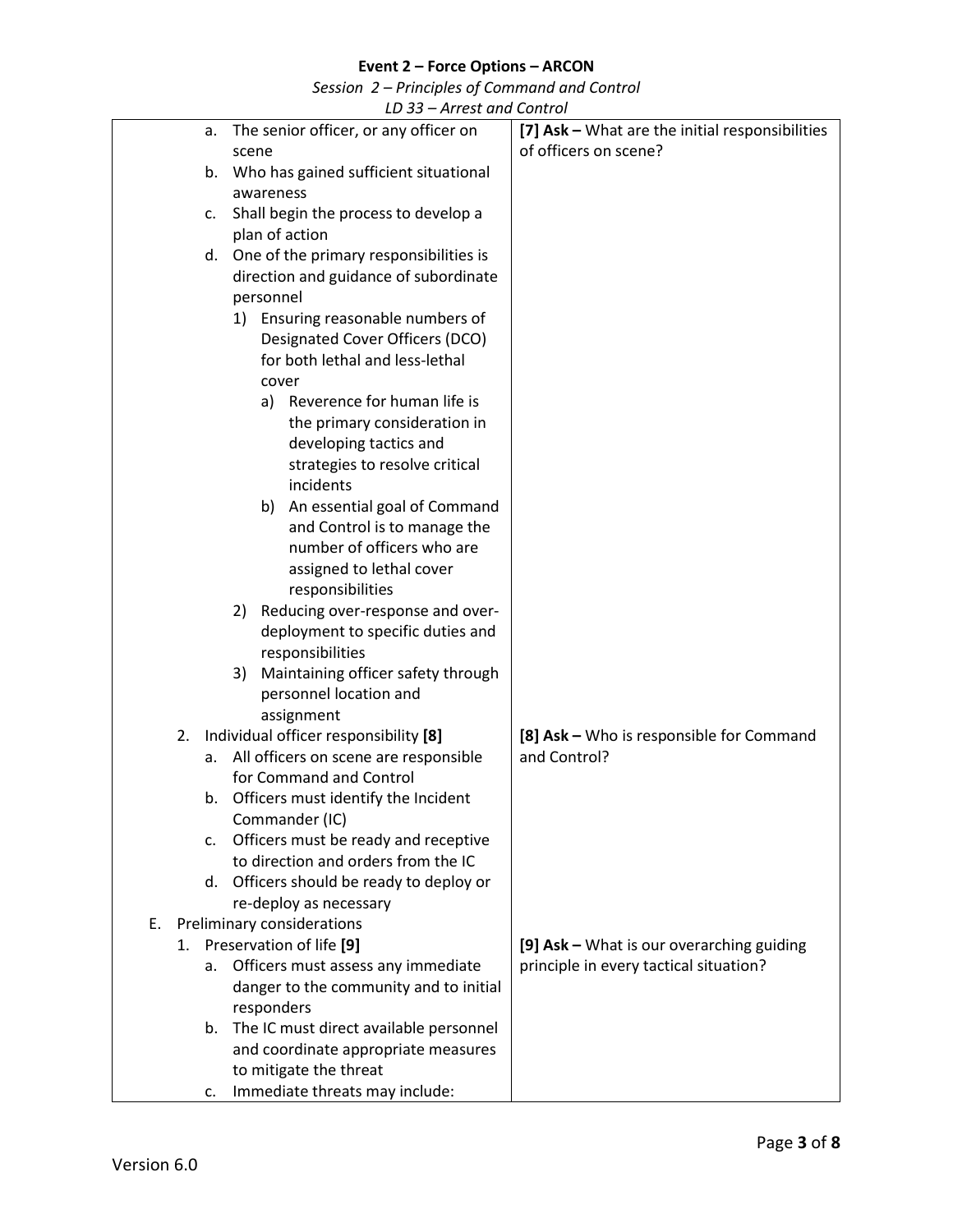*Session 2 – Principles of Command and Control*

|    | LD 33 - Arrest and Control        |                                                            |                                                 |  |  |
|----|-----------------------------------|------------------------------------------------------------|-------------------------------------------------|--|--|
|    |                                   | The senior officer, or any officer on<br>а.                | [7] Ask - What are the initial responsibilities |  |  |
|    |                                   | scene                                                      | of officers on scene?                           |  |  |
|    |                                   | Who has gained sufficient situational<br>b.                |                                                 |  |  |
|    |                                   | awareness                                                  |                                                 |  |  |
|    |                                   | Shall begin the process to develop a<br>c.                 |                                                 |  |  |
|    |                                   | plan of action                                             |                                                 |  |  |
|    |                                   | One of the primary responsibilities is<br>d.               |                                                 |  |  |
|    |                                   | direction and guidance of subordinate                      |                                                 |  |  |
|    |                                   | personnel                                                  |                                                 |  |  |
|    |                                   | 1) Ensuring reasonable numbers of                          |                                                 |  |  |
|    |                                   | Designated Cover Officers (DCO)                            |                                                 |  |  |
|    |                                   | for both lethal and less-lethal                            |                                                 |  |  |
|    |                                   | cover                                                      |                                                 |  |  |
|    |                                   | Reverence for human life is<br>a)                          |                                                 |  |  |
|    |                                   | the primary consideration in                               |                                                 |  |  |
|    |                                   | developing tactics and                                     |                                                 |  |  |
|    |                                   | strategies to resolve critical                             |                                                 |  |  |
|    |                                   | incidents                                                  |                                                 |  |  |
|    |                                   | b)                                                         |                                                 |  |  |
|    |                                   | An essential goal of Command                               |                                                 |  |  |
|    |                                   | and Control is to manage the<br>number of officers who are |                                                 |  |  |
|    |                                   |                                                            |                                                 |  |  |
|    |                                   | assigned to lethal cover                                   |                                                 |  |  |
|    |                                   | responsibilities                                           |                                                 |  |  |
|    |                                   | Reducing over-response and over-<br>2)                     |                                                 |  |  |
|    |                                   | deployment to specific duties and                          |                                                 |  |  |
|    |                                   | responsibilities                                           |                                                 |  |  |
|    |                                   | Maintaining officer safety through<br>3)                   |                                                 |  |  |
|    |                                   | personnel location and                                     |                                                 |  |  |
|    |                                   | assignment                                                 |                                                 |  |  |
|    | 2.                                | Individual officer responsibility [8]                      | [8] Ask - Who is responsible for Command        |  |  |
|    |                                   | All officers on scene are responsible<br>а.                | and Control?                                    |  |  |
|    |                                   | for Command and Control                                    |                                                 |  |  |
|    |                                   | b. Officers must identify the Incident                     |                                                 |  |  |
|    |                                   | Commander (IC)                                             |                                                 |  |  |
|    |                                   | Officers must be ready and receptive<br>c.                 |                                                 |  |  |
|    |                                   | to direction and orders from the IC                        |                                                 |  |  |
|    |                                   | d. Officers should be ready to deploy or                   |                                                 |  |  |
|    |                                   | re-deploy as necessary                                     |                                                 |  |  |
| Е. | <b>Preliminary considerations</b> |                                                            |                                                 |  |  |
|    |                                   | 1. Preservation of life [9]                                | [9] Ask - What is our overarching guiding       |  |  |
|    |                                   | Officers must assess any immediate<br>a.                   | principle in every tactical situation?          |  |  |
|    |                                   | danger to the community and to initial                     |                                                 |  |  |
|    |                                   | responders                                                 |                                                 |  |  |
|    |                                   | b. The IC must direct available personnel                  |                                                 |  |  |
|    |                                   | and coordinate appropriate measures                        |                                                 |  |  |
|    |                                   | to mitigate the threat                                     |                                                 |  |  |
|    |                                   | Immediate threats may include:<br>c.                       |                                                 |  |  |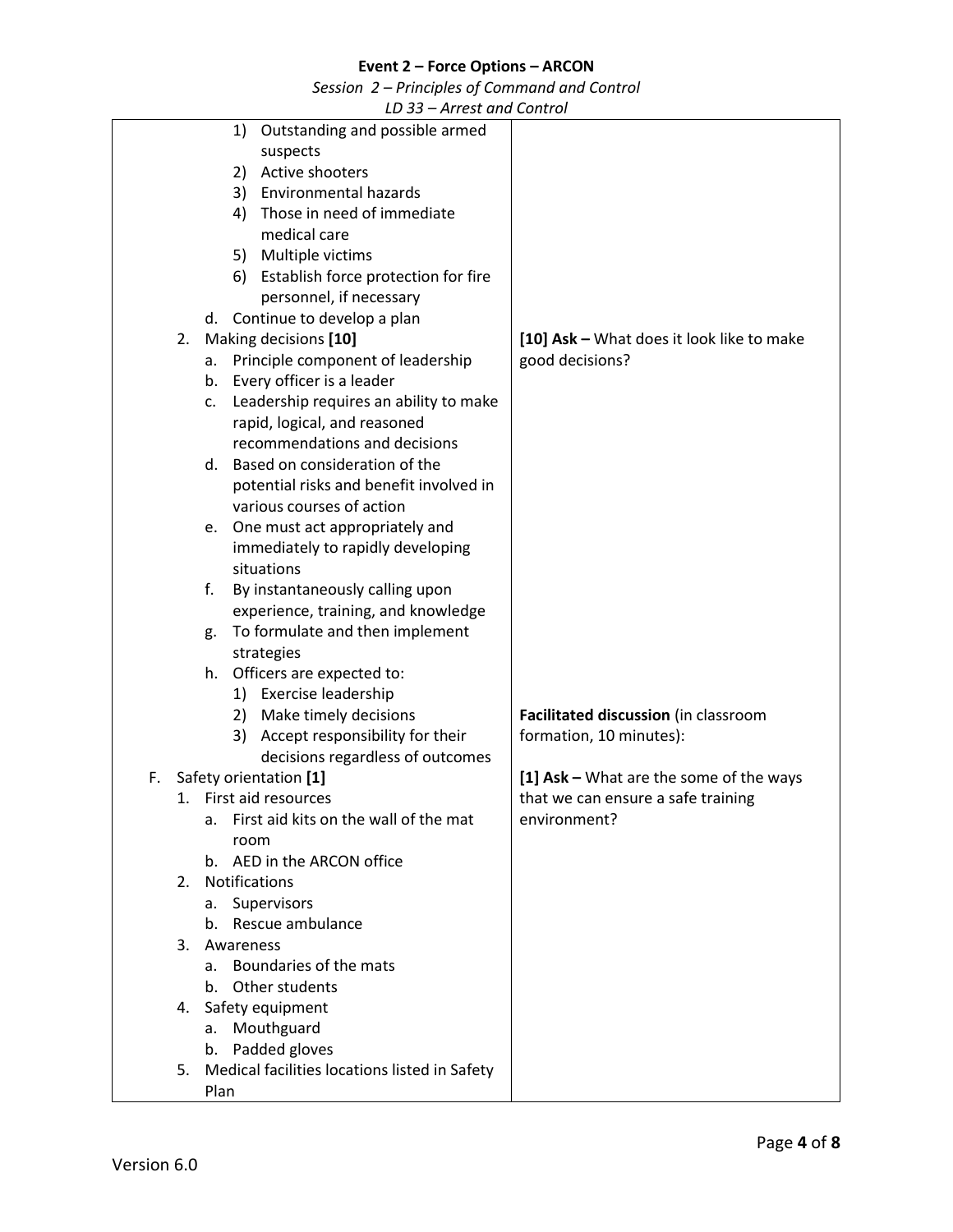*Session 2 – Principles of Command and Control*

|    |                        | $\overline{L}$ $\overline{U}$ $\overline{U}$ $\overline{U}$ $\overline{U}$ $\overline{U}$ $\overline{U}$ $\overline{U}$ $\overline{U}$ $\overline{U}$ $\overline{U}$ $\overline{U}$ $\overline{U}$ $\overline{U}$ $\overline{U}$ $\overline{U}$ $\overline{U}$ $\overline{U}$ $\overline{U}$ $\overline{U}$ $\overline{U}$ $\overline{U}$ $\overline{U}$ $\overline{U}$ $\overline{$ |                                           |
|----|------------------------|--------------------------------------------------------------------------------------------------------------------------------------------------------------------------------------------------------------------------------------------------------------------------------------------------------------------------------------------------------------------------------------|-------------------------------------------|
|    |                        | 1) Outstanding and possible armed                                                                                                                                                                                                                                                                                                                                                    |                                           |
|    |                        | suspects                                                                                                                                                                                                                                                                                                                                                                             |                                           |
|    |                        | 2) Active shooters                                                                                                                                                                                                                                                                                                                                                                   |                                           |
|    |                        | 3) Environmental hazards                                                                                                                                                                                                                                                                                                                                                             |                                           |
|    |                        | Those in need of immediate<br>4)                                                                                                                                                                                                                                                                                                                                                     |                                           |
|    |                        | medical care                                                                                                                                                                                                                                                                                                                                                                         |                                           |
|    |                        | 5) Multiple victims                                                                                                                                                                                                                                                                                                                                                                  |                                           |
|    |                        | 6) Establish force protection for fire                                                                                                                                                                                                                                                                                                                                               |                                           |
|    |                        | personnel, if necessary                                                                                                                                                                                                                                                                                                                                                              |                                           |
|    |                        | Continue to develop a plan<br>d.                                                                                                                                                                                                                                                                                                                                                     |                                           |
|    | 2.                     | Making decisions [10]                                                                                                                                                                                                                                                                                                                                                                | [10] Ask - What does it look like to make |
|    |                        | Principle component of leadership<br>а.                                                                                                                                                                                                                                                                                                                                              | good decisions?                           |
|    |                        | b. Every officer is a leader                                                                                                                                                                                                                                                                                                                                                         |                                           |
|    |                        | Leadership requires an ability to make<br>c.                                                                                                                                                                                                                                                                                                                                         |                                           |
|    |                        | rapid, logical, and reasoned                                                                                                                                                                                                                                                                                                                                                         |                                           |
|    |                        | recommendations and decisions                                                                                                                                                                                                                                                                                                                                                        |                                           |
|    |                        | Based on consideration of the<br>$d_{\cdot}$                                                                                                                                                                                                                                                                                                                                         |                                           |
|    |                        | potential risks and benefit involved in                                                                                                                                                                                                                                                                                                                                              |                                           |
|    |                        | various courses of action                                                                                                                                                                                                                                                                                                                                                            |                                           |
|    |                        | One must act appropriately and<br>e.                                                                                                                                                                                                                                                                                                                                                 |                                           |
|    |                        | immediately to rapidly developing                                                                                                                                                                                                                                                                                                                                                    |                                           |
|    |                        | situations                                                                                                                                                                                                                                                                                                                                                                           |                                           |
|    |                        | By instantaneously calling upon<br>f.                                                                                                                                                                                                                                                                                                                                                |                                           |
|    |                        | experience, training, and knowledge                                                                                                                                                                                                                                                                                                                                                  |                                           |
|    |                        | To formulate and then implement                                                                                                                                                                                                                                                                                                                                                      |                                           |
|    |                        | g.                                                                                                                                                                                                                                                                                                                                                                                   |                                           |
|    |                        | strategies                                                                                                                                                                                                                                                                                                                                                                           |                                           |
|    |                        | Officers are expected to:<br>h.                                                                                                                                                                                                                                                                                                                                                      |                                           |
|    |                        | 1) Exercise leadership                                                                                                                                                                                                                                                                                                                                                               |                                           |
|    |                        | 2) Make timely decisions                                                                                                                                                                                                                                                                                                                                                             | Facilitated discussion (in classroom      |
|    |                        | 3) Accept responsibility for their                                                                                                                                                                                                                                                                                                                                                   | formation, 10 minutes):                   |
|    |                        | decisions regardless of outcomes                                                                                                                                                                                                                                                                                                                                                     |                                           |
| F. |                        | Safety orientation [1]                                                                                                                                                                                                                                                                                                                                                               | [1] Ask - What are the some of the ways   |
|    |                        | 1. First aid resources                                                                                                                                                                                                                                                                                                                                                               | that we can ensure a safe training        |
|    |                        | First aid kits on the wall of the mat<br>a.                                                                                                                                                                                                                                                                                                                                          | environment?                              |
|    |                        | room                                                                                                                                                                                                                                                                                                                                                                                 |                                           |
|    |                        | AED in the ARCON office<br>b.                                                                                                                                                                                                                                                                                                                                                        |                                           |
|    | 2.                     | Notifications                                                                                                                                                                                                                                                                                                                                                                        |                                           |
|    |                        | Supervisors<br>а.                                                                                                                                                                                                                                                                                                                                                                    |                                           |
|    |                        | Rescue ambulance<br>b.                                                                                                                                                                                                                                                                                                                                                               |                                           |
|    | 3.                     | Awareness                                                                                                                                                                                                                                                                                                                                                                            |                                           |
|    |                        | Boundaries of the mats<br>a.                                                                                                                                                                                                                                                                                                                                                         |                                           |
|    |                        | Other students<br>b.                                                                                                                                                                                                                                                                                                                                                                 |                                           |
|    | Safety equipment<br>4. |                                                                                                                                                                                                                                                                                                                                                                                      |                                           |
|    |                        | Mouthguard<br>a.                                                                                                                                                                                                                                                                                                                                                                     |                                           |
|    |                        | Padded gloves<br>b.                                                                                                                                                                                                                                                                                                                                                                  |                                           |
|    | 5.                     | Medical facilities locations listed in Safety                                                                                                                                                                                                                                                                                                                                        |                                           |
|    |                        | Plan                                                                                                                                                                                                                                                                                                                                                                                 |                                           |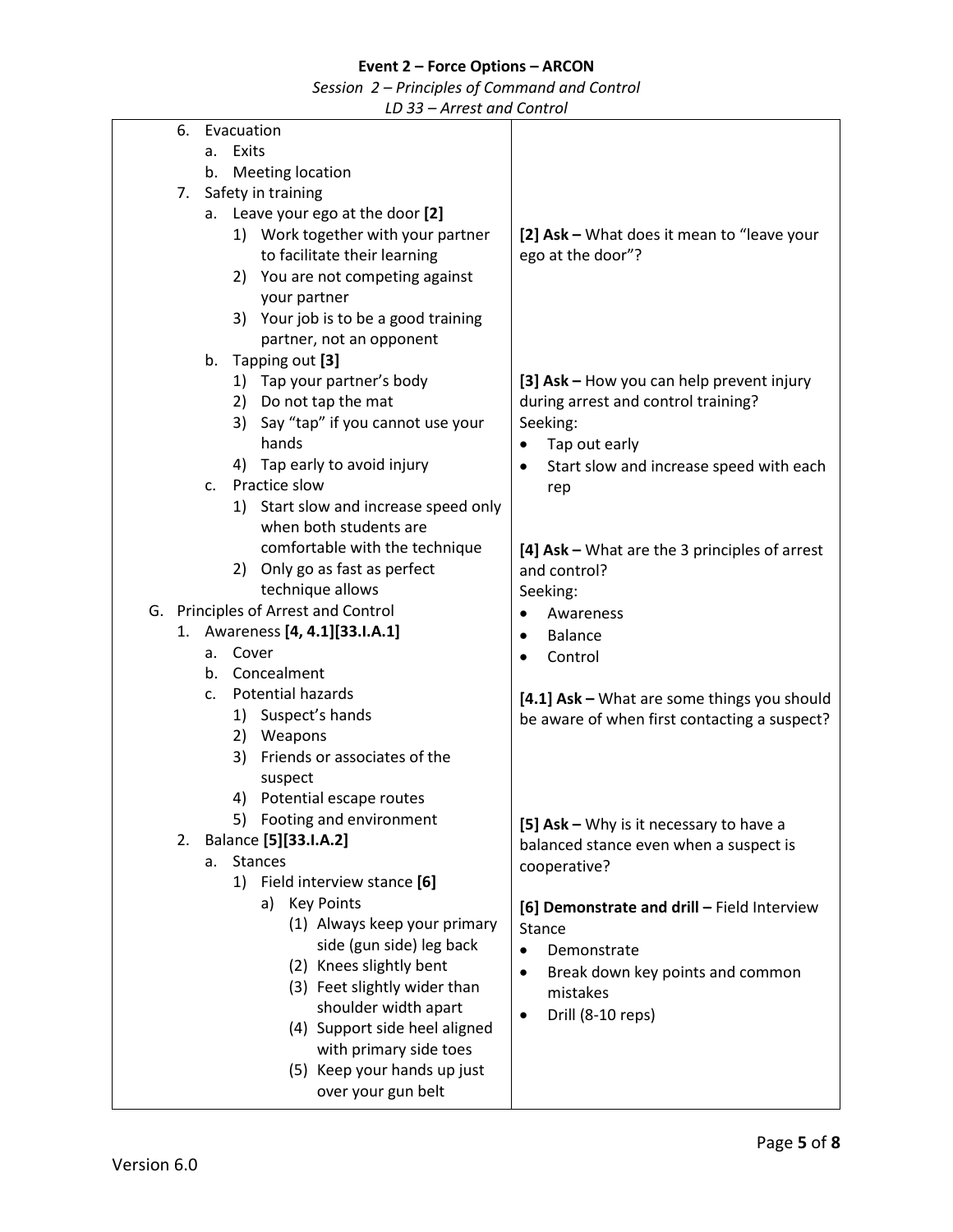*Session 2 – Principles of Command and Control*

<span id="page-4-1"></span><span id="page-4-0"></span>

|    |            | An cut and control                    |                                                      |
|----|------------|---------------------------------------|------------------------------------------------------|
| 6. | Evacuation |                                       |                                                      |
|    | a.         | Exits                                 |                                                      |
|    | b.         | <b>Meeting location</b>               |                                                      |
| 7. |            | Safety in training                    |                                                      |
|    |            |                                       |                                                      |
|    |            | a. Leave your ego at the door [2]     |                                                      |
|    |            | 1) Work together with your partner    | [2] Ask - What does it mean to "leave your           |
|    |            | to facilitate their learning          | ego at the door"?                                    |
|    |            | 2) You are not competing against      |                                                      |
|    |            | your partner                          |                                                      |
|    |            | 3) Your job is to be a good training  |                                                      |
|    |            | partner, not an opponent              |                                                      |
|    | b.         | Tapping out [3]                       |                                                      |
|    |            | 1) Tap your partner's body            | [3] Ask - How you can help prevent injury            |
|    |            |                                       |                                                      |
|    |            | 2) Do not tap the mat                 | during arrest and control training?                  |
|    |            | 3) Say "tap" if you cannot use your   | Seeking:                                             |
|    |            | hands                                 | Tap out early<br>$\bullet$                           |
|    |            | 4) Tap early to avoid injury          | Start slow and increase speed with each<br>$\bullet$ |
|    |            | c. Practice slow                      | rep                                                  |
|    |            | 1) Start slow and increase speed only |                                                      |
|    |            | when both students are                |                                                      |
|    |            | comfortable with the technique        | [4] Ask - What are the 3 principles of arrest        |
|    |            | 2) Only go as fast as perfect         | and control?                                         |
|    |            | technique allows                      |                                                      |
|    |            |                                       | Seeking:                                             |
|    |            | G. Principles of Arrest and Control   | Awareness<br>$\bullet$                               |
|    |            | 1. Awareness [4, 4.1] [33.I.A.1]      | <b>Balance</b><br>$\bullet$                          |
|    | a. Cover   |                                       | Control<br>$\bullet$                                 |
|    | b.         | Concealment                           |                                                      |
|    | C.         | Potential hazards                     | [4.1] Ask - What are some things you should          |
|    |            | 1) Suspect's hands                    | be aware of when first contacting a suspect?         |
|    |            | 2) Weapons                            |                                                      |
|    |            | 3) Friends or associates of the       |                                                      |
|    |            | suspect                               |                                                      |
|    | 4)         | Potential escape routes               |                                                      |
|    |            | 5) Footing and environment            |                                                      |
|    |            |                                       | [5] Ask - Why is it necessary to have a              |
|    |            | 2. Balance [5] [33.I.A.2]             | balanced stance even when a suspect is               |
|    | а.         | <b>Stances</b>                        | cooperative?                                         |
|    |            | 1) Field interview stance [6]         |                                                      |
|    |            | a) Key Points                         | [6] Demonstrate and drill - Field Interview          |
|    |            | (1) Always keep your primary          | <b>Stance</b>                                        |
|    |            | side (gun side) leg back              | Demonstrate<br>$\bullet$                             |
|    |            | (2) Knees slightly bent               |                                                      |
|    |            | (3) Feet slightly wider than          | Break down key points and common<br>$\bullet$        |
|    |            | shoulder width apart                  | mistakes                                             |
|    |            | (4) Support side heel aligned         | Drill (8-10 reps)<br>$\bullet$                       |
|    |            |                                       |                                                      |
|    |            | with primary side toes                |                                                      |
|    |            | (5) Keep your hands up just           |                                                      |
|    |            | over your gun belt                    |                                                      |
|    |            |                                       |                                                      |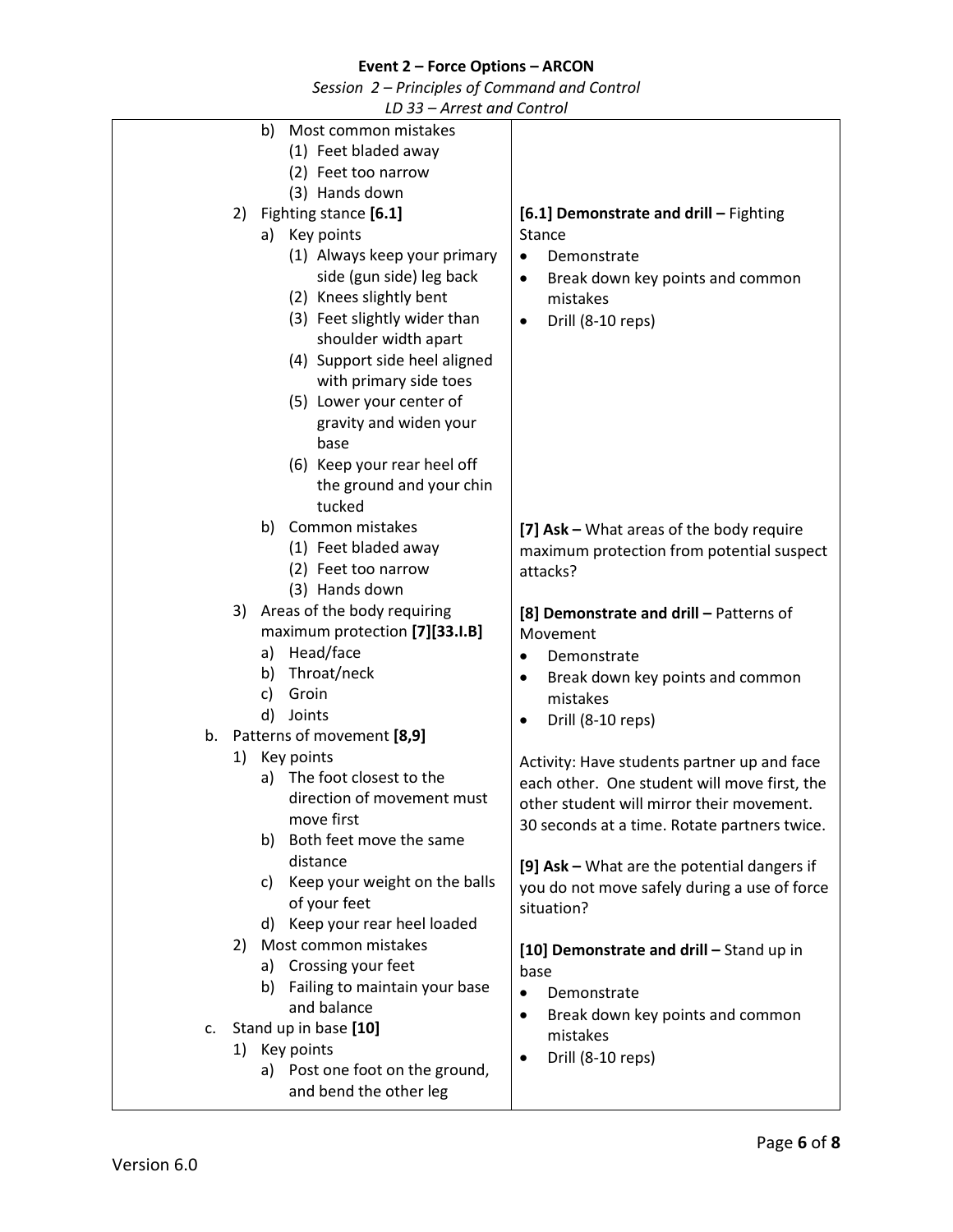*Session 2 – Principles of Command and Control*

<span id="page-5-0"></span>

|    |    | ᄖ ᇰ<br>$-$ An column Control     |                                               |
|----|----|----------------------------------|-----------------------------------------------|
|    |    | b)<br>Most common mistakes       |                                               |
|    |    | (1) Feet bladed away             |                                               |
|    |    | (2) Feet too narrow              |                                               |
|    |    | (3) Hands down                   |                                               |
|    | 2) | Fighting stance [6.1]            | [6.1] Demonstrate and drill - Fighting        |
|    |    | a) Key points                    | <b>Stance</b>                                 |
|    |    | (1) Always keep your primary     | Demonstrate<br>$\bullet$                      |
|    |    | side (gun side) leg back         | Break down key points and common<br>٠         |
|    |    | (2) Knees slightly bent          | mistakes                                      |
|    |    | (3) Feet slightly wider than     | Drill (8-10 reps)<br>$\bullet$                |
|    |    | shoulder width apart             |                                               |
|    |    | (4) Support side heel aligned    |                                               |
|    |    | with primary side toes           |                                               |
|    |    | (5) Lower your center of         |                                               |
|    |    | gravity and widen your           |                                               |
|    |    | base                             |                                               |
|    |    | (6) Keep your rear heel off      |                                               |
|    |    | the ground and your chin         |                                               |
|    |    | tucked                           |                                               |
|    |    | b) Common mistakes               | [7] Ask - What areas of the body require      |
|    |    | (1) Feet bladed away             | maximum protection from potential suspect     |
|    |    | (2) Feet too narrow              | attacks?                                      |
|    |    | (3) Hands down                   |                                               |
|    | 3) | Areas of the body requiring      | [8] Demonstrate and drill - Patterns of       |
|    |    | maximum protection [7][33.I.B]   | Movement                                      |
|    |    | a) Head/face                     | Demonstrate<br>$\bullet$                      |
|    |    | Throat/neck<br>b)                | Break down key points and common<br>٠         |
|    |    | Groin<br>c)<br>d) Joints         | mistakes                                      |
| b. |    | Patterns of movement [8,9]       | Drill (8-10 reps)                             |
|    | 1) | Key points                       |                                               |
|    |    | The foot closest to the<br>a)    | Activity: Have students partner up and face   |
|    |    | direction of movement must       | each other. One student will move first, the  |
|    |    | move first                       | other student will mirror their movement.     |
|    |    | b) Both feet move the same       | 30 seconds at a time. Rotate partners twice.  |
|    |    | distance                         |                                               |
|    |    | c) Keep your weight on the balls | [9] Ask - What are the potential dangers if   |
|    |    | of your feet                     | you do not move safely during a use of force  |
|    |    | d) Keep your rear heel loaded    | situation?                                    |
|    | 2) | Most common mistakes             |                                               |
|    |    | Crossing your feet<br>a)         | [10] Demonstrate and drill - Stand up in      |
|    |    | b) Failing to maintain your base | base                                          |
|    |    | and balance                      | Demonstrate<br>$\bullet$                      |
| c. |    | Stand up in base [10]            | Break down key points and common<br>$\bullet$ |
|    |    | 1) Key points                    | mistakes                                      |
|    |    | a) Post one foot on the ground,  | Drill (8-10 reps)<br>٠                        |
|    |    | and bend the other leg           |                                               |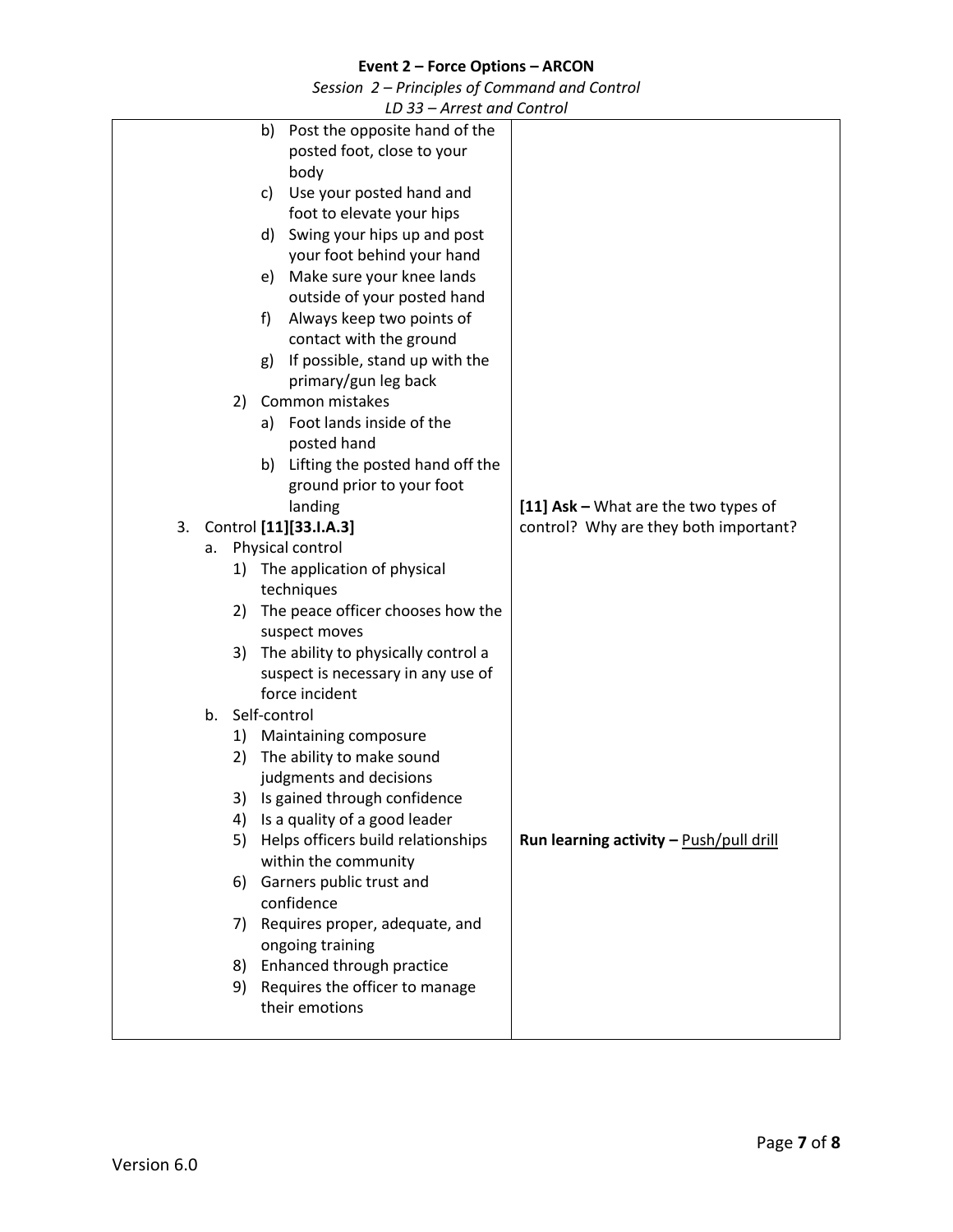*Session 2 – Principles of Command and Control*

<span id="page-6-1"></span><span id="page-6-0"></span>

| LU JJ<br>$-$ An cot and Control          |                                         |
|------------------------------------------|-----------------------------------------|
| Post the opposite hand of the<br>b)      |                                         |
| posted foot, close to your               |                                         |
| body                                     |                                         |
| Use your posted hand and<br>c)           |                                         |
| foot to elevate your hips                |                                         |
| Swing your hips up and post<br>d)        |                                         |
| your foot behind your hand               |                                         |
| Make sure your knee lands<br>e)          |                                         |
| outside of your posted hand              |                                         |
| Always keep two points of<br>f)          |                                         |
| contact with the ground                  |                                         |
| If possible, stand up with the<br>g)     |                                         |
| primary/gun leg back                     |                                         |
| Common mistakes<br>2)                    |                                         |
| Foot lands inside of the<br>a)           |                                         |
| posted hand                              |                                         |
| Lifting the posted hand off the<br>b)    |                                         |
| ground prior to your foot                |                                         |
| landing                                  | [11] Ask - What are the two types of    |
| Control [11][33.I.A.3]<br>3.             | control? Why are they both important?   |
| Physical control<br>a.                   |                                         |
| 1) The application of physical           |                                         |
| techniques                               |                                         |
| 2) The peace officer chooses how the     |                                         |
| suspect moves                            |                                         |
| 3) The ability to physically control a   |                                         |
| suspect is necessary in any use of       |                                         |
| force incident                           |                                         |
| Self-control<br>b.                       |                                         |
| <b>Maintaining composure</b><br>1)       |                                         |
| The ability to make sound<br>2)          |                                         |
| judgments and decisions                  |                                         |
| 3) Is gained through confidence          |                                         |
| Is a quality of a good leader<br>4)      |                                         |
| Helps officers build relationships<br>5) | Run learning activity - Push/pull drill |
| within the community                     |                                         |
| Garners public trust and<br>6)           |                                         |
| confidence                               |                                         |
| 7) Requires proper, adequate, and        |                                         |
| ongoing training                         |                                         |
| Enhanced through practice<br>8)          |                                         |
| 9) Requires the officer to manage        |                                         |
| their emotions                           |                                         |
|                                          |                                         |